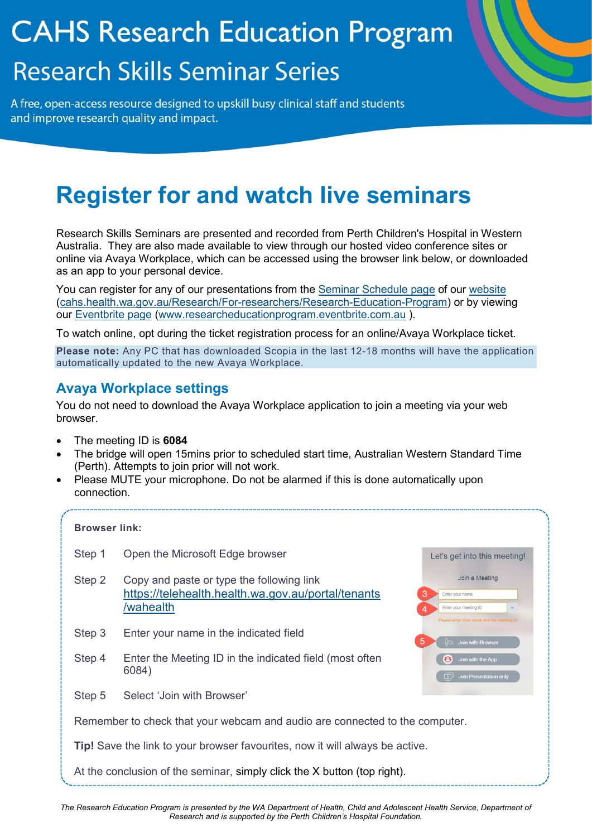# **CAHS Research Education Program Research Skills Seminar Series**

A free, open-access resource designed to upskill busy clinical staff and students and improve research quality and impact.

# **Register for and watch live seminars**

Research Skills Seminars are presented and recorded from Perth Children's Hospital in Western Australia. They are also made available to view through our hosted video conference sites or online via Avaya Workplace, which can be accessed using the browser link below, or downloaded as an app to your personal device.

You can register for any of our presentations from the [Seminar Schedule page](https://www.cahs.health.wa.gov.au/Research/For-researchers/Research-Education-Program/Seminar-schedule) of our [website](https://www.cahs.health.wa.gov.au/Research/For-researchers/Research-Education-Program/Seminar-schedule) [\(cahs.health.wa.gov.au/Research/For-researchers/Research-Education-Program\)](https://cahs.health.wa.gov.au/Research/For-researchers/Research-Education-Program) or by viewing our [Eventbrite page](https://researcheducationprogram.eventbrite.com.au/) [\(www.researcheducationprogram.eventbrite.com.au](http://www.researcheducationprogram.eventbrite.com.au/) ).

To watch online, opt during the ticket registration process for an online/Avaya Workplace ticket.

**Please note:** Any PC that has downloaded Scopia in the last 12-18 months will have the application automatically updated to the new Avaya Workplace.

### **Avaya Workplace settings**

You do not need to download the Avaya Workplace application to join a meeting via your web browser.

- The meeting ID is **6084**
- The bridge will open 15mins prior to scheduled start time, Australian Western Standard Time (Perth). Attempts to join prior will not work.
- Please MUTE your microphone. Do not be alarmed if this is done automatically upon connection.